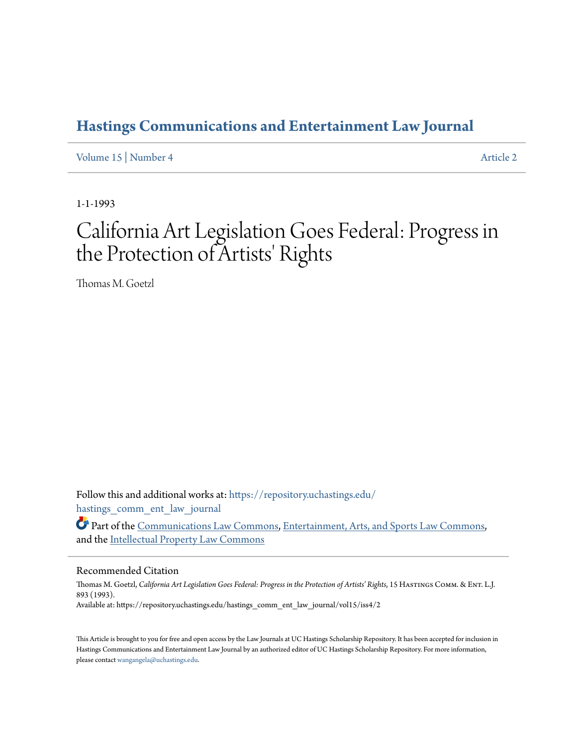## **[Hastings Communications and Entertainment Law Journal](https://repository.uchastings.edu/hastings_comm_ent_law_journal?utm_source=repository.uchastings.edu%2Fhastings_comm_ent_law_journal%2Fvol15%2Fiss4%2F2&utm_medium=PDF&utm_campaign=PDFCoverPages)**

[Volume 15](https://repository.uchastings.edu/hastings_comm_ent_law_journal/vol15?utm_source=repository.uchastings.edu%2Fhastings_comm_ent_law_journal%2Fvol15%2Fiss4%2F2&utm_medium=PDF&utm_campaign=PDFCoverPages) | [Number 4](https://repository.uchastings.edu/hastings_comm_ent_law_journal/vol15/iss4?utm_source=repository.uchastings.edu%2Fhastings_comm_ent_law_journal%2Fvol15%2Fiss4%2F2&utm_medium=PDF&utm_campaign=PDFCoverPages) [Article 2](https://repository.uchastings.edu/hastings_comm_ent_law_journal/vol15/iss4/2?utm_source=repository.uchastings.edu%2Fhastings_comm_ent_law_journal%2Fvol15%2Fiss4%2F2&utm_medium=PDF&utm_campaign=PDFCoverPages)

1-1-1993

# California Art Legislation Goes Federal: Progress in the Protection of Artists' Rights

Thomas M. Goetzl

Follow this and additional works at: [https://repository.uchastings.edu/](https://repository.uchastings.edu/hastings_comm_ent_law_journal?utm_source=repository.uchastings.edu%2Fhastings_comm_ent_law_journal%2Fvol15%2Fiss4%2F2&utm_medium=PDF&utm_campaign=PDFCoverPages) [hastings\\_comm\\_ent\\_law\\_journal](https://repository.uchastings.edu/hastings_comm_ent_law_journal?utm_source=repository.uchastings.edu%2Fhastings_comm_ent_law_journal%2Fvol15%2Fiss4%2F2&utm_medium=PDF&utm_campaign=PDFCoverPages)

Part of the [Communications Law Commons,](http://network.bepress.com/hgg/discipline/587?utm_source=repository.uchastings.edu%2Fhastings_comm_ent_law_journal%2Fvol15%2Fiss4%2F2&utm_medium=PDF&utm_campaign=PDFCoverPages) [Entertainment, Arts, and Sports Law Commons,](http://network.bepress.com/hgg/discipline/893?utm_source=repository.uchastings.edu%2Fhastings_comm_ent_law_journal%2Fvol15%2Fiss4%2F2&utm_medium=PDF&utm_campaign=PDFCoverPages) and the [Intellectual Property Law Commons](http://network.bepress.com/hgg/discipline/896?utm_source=repository.uchastings.edu%2Fhastings_comm_ent_law_journal%2Fvol15%2Fiss4%2F2&utm_medium=PDF&utm_campaign=PDFCoverPages)

### Recommended Citation

Thomas M. Goetzl, *California Art Legislation Goes Federal: Progress in the Protection of Artists' Rights*, 15 HASTINGS COMM. & ENT. L.J. 893 (1993). Available at: https://repository.uchastings.edu/hastings\_comm\_ent\_law\_journal/vol15/iss4/2

This Article is brought to you for free and open access by the Law Journals at UC Hastings Scholarship Repository. It has been accepted for inclusion in Hastings Communications and Entertainment Law Journal by an authorized editor of UC Hastings Scholarship Repository. For more information, please contact [wangangela@uchastings.edu.](mailto:wangangela@uchastings.edu)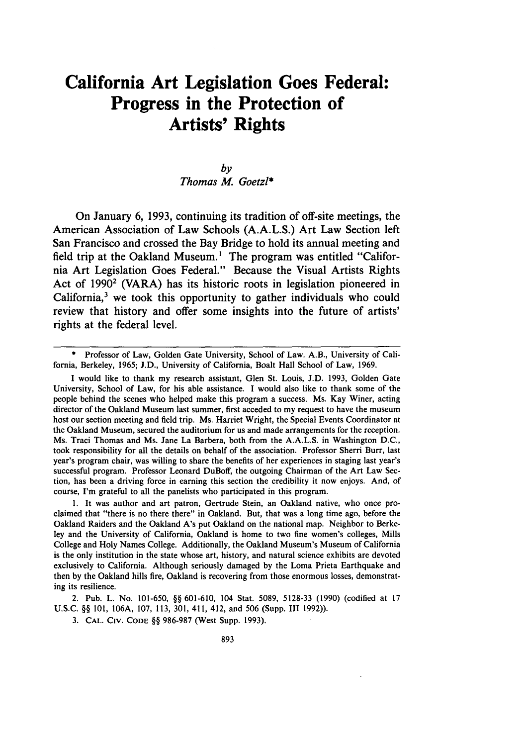## **California Art Legislation Goes Federal: Progress in the Protection of Artists' Rights**

#### *by Thomas M. Goetzl\**

On January **6, 1993,** continuing its tradition of off-site meetings, the American Association of Law Schools **(A.A.L.S.)** Art Law Section left San Francisco and crossed the Bay Bridge to hold its annual meeting and field trip at the Oakland Museum.! The program was entitled "California Art Legislation Goes Federal." Because the Visual Artists Rights Act of **19902** (VARA) has its historic roots in legislation pioneered in California,<sup>3</sup> we took this opportunity to gather individuals who could review that history and offer some insights into the future of artists' rights at the federal level.

**<sup>\*</sup>** Professor of Law, Golden Gate University, School of Law. A.B., University of California, Berkeley, **1965; J.D.,** University of California, Boalt Hall School of Law, **1969.**

I would like to thank my research assistant, Glen St. Louis, **J.D. 1993,** Golden Gate University, School of Law, for his able assistance. **I** would also like to thank some of the people behind the scenes who helped make this program a success. Ms. Kay Winer, acting director of the Oakland Museum last summer, first acceded to my request to have the museum host our section meeting and field trip. Ms. Harriet Wright, the Special Events Coordinator at the Oakland Museum, secured the auditorium for us and made arrangements for the reception. Ms. Traci Thomas and Ms. Jane La Barbera, both from the **A.A.L.S.** in Washington **D.C.,** took responsibility for all the details on behalf of the association. Professor Sherri Burr, last year's program chair, was willing to share the benefits of her experiences in staging last year's successful program. Professor Leonard DuBoff, the outgoing Chairman of the Art Law Section, has been a driving force in earning this section the credibility it now enjoys. And, of course, I'm grateful to all the panelists who participated in this program.

**<sup>1.</sup>** It was author and art patron, Gertrude Stein, an Oakland native, who once proclaimed that "there is no there there" in Oakland. But, that was a long time ago, before the Oakland Raiders and the Oakland A's put Oakland on the national map. Neighbor to Berkeley and the University of California, Oakland is home to two fine women's colleges, Mills College and Holy Names College. Additionally, the Oakland Museum's Museum of California is the only institution in the state whose art, history, and natural science exhibits are devoted exclusively to California. Although seriously damaged **by** the Loma Prieta Earthquake and then **by** the Oakland hills fire, Oakland is recovering from those enormous losses, demonstrating its resilience.

<sup>2.</sup> Pub. L. No. **101-650,** §§ **601-610,** 104 Stat. **5089, 5128-33 (1990)** (codified at **17 U.S.C.** §§ **101, 106A, 107, 113, 301,** 411, 412, and **506** (Supp. **III 1992)).**

**<sup>3.</sup> CAL. CiV. CODE** §§ **986-987** (West Supp. **1993).**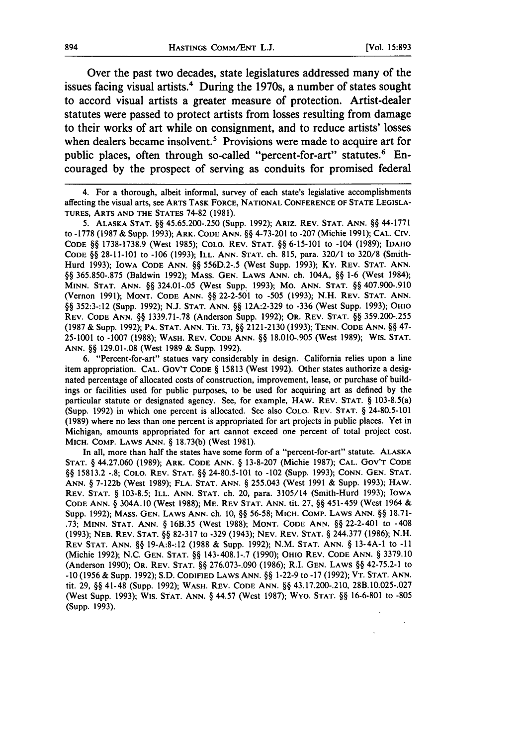$\ddot{\phantom{a}}$ 

 $\ddot{\phantom{0}}$ 

Over the past two decades, state legislatures addressed many of the issues facing visual artists.4 During the 1970s, a number of states sought to accord visual artists a greater measure of protection. Artist-dealer statutes were passed to protect artists from losses resulting from damage to their works of art while on consignment, and to reduce artists' losses when dealers became insolvent.<sup>5</sup> Provisions were made to acquire art for public places, often through so-called "percent-for-art" statutes.<sup>6</sup> Encouraged by the prospect of serving as conduits for promised federal

4. For a thorough, albeit informal, survey of each state's legislative accomplishments affecting the visual arts, see ARTS TASK FORCE, **NATIONAL CONFERENCE** OF **STATE LEGISLA-TURES, ARTS AND THE STATES** 74-82 (1981).

**5. ALASKA STAT.** §§ 45.65.200-.250 (Supp. 1992); **ARIz. REV. STAT. ANN.** §§ 44-1771 to -1778 (1987 **&** Supp. 1993); ARK. **CODE ANN.** §§ 4-73-201 to **-207** (Michie 1991); **CAL. CIV. CODE** §§ 1738-1738.9 (West 1985); **COLO.** REV. **STAT.** §§ 6-15-101 to -104 (1989); **IDAHO CODE §§** 28-11-101 to -106 **(1993); ILL. ANN. STAT.** ch. 815, para. **320/1** to **320/8** (Smith-Hurd 1993); IOWA **CODE** ANN. §§ 556D.2-.5 (West Supp. 1993); Ky. REV. **STAT. ANN.** §§ 365.850-.875 (Baldwin 1992); **MASS. GEN. LAWS ANN.** ch. 104A, §§ **1-6** (West 1984); **MINN. STAT. ANN.** §§ 324.01-.05 (West Supp. 1993); Mo. **ANN. STAT. §§** 407.900-.910 (Vernon 1991); **MONT. CODE ANN. §§** 22-2-501 to **-505** (1993); N.H. **REV. STAT. ANN.** §§ 352:3-:12 (Supp. 1992); N.J. **STAT. ANN.** §§ 12A:2-329 to **-336** (West Supp. 1993); **OHIO REV. CODE ANN.** §§ 1339.71-.78 (Anderson Supp. 1992); OR. REV. **STAT.** §§ 359.200-.255 (1987 **&** Supp. 1992); PA. **STAT.** ANN. Tit. **73,** §§ 2121-2130 (1993); **TENN. CODE ANN.** §§ 47- **25-1001** to -1007 (1988); **WASH. REV. CODE ANN. §§** 18.010-.905 (West 1989); WIS. **STAT. ANN.** §§ 129.01-.08 (West 1989 **&** Supp. 1992).

6. "Percent-for-art" statues vary considerably in design. California relies upon a line item appropriation. **CAL.** GOV'T **CODE** § 15813 (West 1992). Other states authorize a designated percentage of allocated costs of construction, improvement, lease, or purchase of buildings or facilities used for public purposes, to be used for acquiring art as defined by the particular statute **or** designated agency. See, **for** example, **HAW. REV. STAT.** § 103-8.5(a) (Supp. 1992) in which one percent is allocated. See also **COLO. REV. STAT.** § 24-80.5-101 (1989) where no less than one percent is appropriated for art projects in public places. Yet in Michigan, amounts appropriated for art cannot exceed one percent of total project cost. **MICH.** COMP. **LAWS ANN. § 18.73(b)** (West 1981).

In **all, more** than half **the** states have **some form of** a "percent-for-art" statute. **ALASKA STAT.** § 44.27.060 (1989); **ARK. CODE ANN.** § **13-8-207** (Michie 1987); **CAL.** GOV'T **CODE** §§ 15813.2 -.8; **COLO. REV. STAT. §§** 24-80.5-101 **to -102** (Supp. 1993); **CONN. GEN. STAT. ANN.** § **7-122b** (West 1989); **FLA. STAT. ANN.** § 255.043 (West 1991 **&** Supp. 1993); **HAW. REV. STAT. §** 103-8.5; **ILL. ANN. STAT. ch.** 20, **para.** 3105/14 **(Smith-Hurd 1993); IOWA CODE ANN.** § 304A.10 (West 1988); **ME. REV STAT. ANN.** tit. **27,** §§ 451-459 **(West** 1964 **&** Supp. **1992);** MASS. **GEN.** LAWS **ANN.** ch. **10, §§** 56-58; MICH. **COMP.** LAWS **ANN.** §§ **18.71-** .73; **MINN. STAT. ANN. §** 16B.35 **(West 1988); MONT. CODE ANN.** §§ 22-2-401 to -408 (1993); **NEB.** REV. **STAT.** §§ **82-317 to -329** (1943); **NEV.** REV. **STAT.** § 244.377 (1986); N.H. REV **STAT. ANN.** §§ 19-A:8-:12 **(1988** & Supp. 1992); N.M. **STAT. ANN.** § 13-4A-1 **to -11** (Michie 1992); N.C. **GEN. STAT. §§** 143-408.1-.7 (1990); OHIO REV. **CODE ANN.** § **3379.10** (Anderson 1990); OR. REV. **STAT.** §§ 276.073-.090 (1986); R.I. **GEN.** LAWS **§§** 42-75.2-1 **to -10** (1956 & Supp. 1992); S.D. **CODIFIED** LAWS **ANN. §§** 1-22-9 **to -17** (1992); VT. **STAT. ANN. tit.** 29, **§§** 41-48 (Supp. 1992); WASH. REV. **CODE ANN. §§** 43.17.200-.210, 28B.10.025-.027 **(West** Supp. 1993); Wis. STAT. **ANN. §** 44.57 **(West 1987);** WYO. **STAT. §§** 16-6-801 **to** -805 (Supp. **1993).**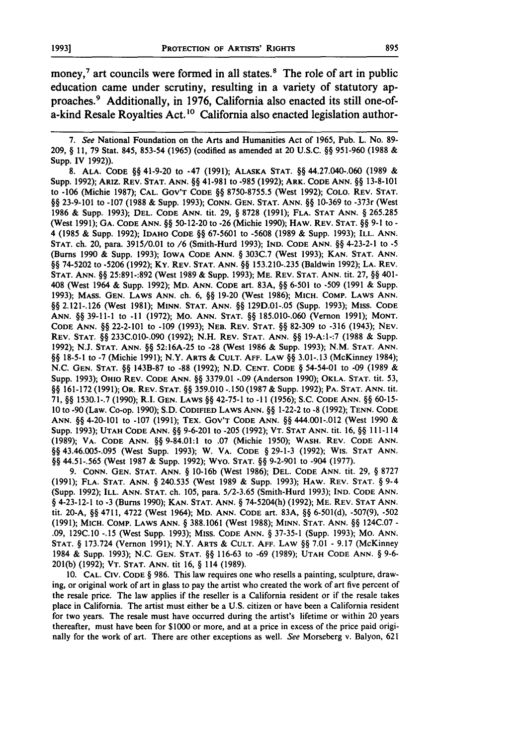money,<sup>7</sup> art councils were formed in all states.<sup>8</sup> The role of art in public education came under scrutiny, resulting in a variety of statutory approaches. 9 Additionally, in **1976,** California also enacted its still one-ofa-kind Resale Royalties Act.<sup>10</sup> California also enacted legislation author-

*7. See* National Foundation on the Arts and Humanities Act of 1965, Pub. L. No. **89-** 209, **§ 11, 79** Stat. 845, 853-54 **(1965)** (codified as amended at 20 U.S.C. **§§** 951-960 **(1988 &** Supp. IV 1992)).

**8. ALA.** CODE **§§** 41-9-20 to -47 (1991); **ALASKA STAT. §§** 44.27.040-.060 (1989 & Supp. 1992); ARIz. REV. **STAT.** ANN. **§§** 41-981 to -985 (1992); ARK. **CODE** ANN. §§ 13-8-101 to -106 (Michie 1987); CAL. GOV'T **CODE §§** 8750-8755.5 (West 1992); COLO. REV. **STAT. §§** 23-9-101 to -107 (1988 & Supp. 1993); **CONN.** GEN. **STAT. ANN. §§** 10-369 to -373r (West 1986 & Supp. 1993); **DEL.** CODE **ANN.** tit. 29, **§** 8728 (1991); FLA. STAT **ANN. §** 265.285 (West 1991); **GA. CODE ANN. §§** 50-12-20 to **-26** (Michie 1990); HAW. REV. **STAT. §§ 9-1** to **-** 4 (1985 & Supp. 1992); IDAHO **CODE** §§ 67-5601 to -5608 (1989 & Supp. 1993); ILL. ANN. **STAT.** ch. 20, para. 3915/0.01 to /6 (Smith-Hurd 1993); **IND. CODE ANN. §§** 4-23-2-1 to -5 (Burns 1990 & Supp. 1993); IOWA CODE ANN. **§** 303C.7 (West 1993); KAN. **STAT. ANN. §§** 74-5202 to -5206 (1992); Ky. REV. **STAT.** ANN. **§§** 153.210-.235 (Baldwin 1992); **LA.** REV. **STAT. ANN. §§** 25:891-:892 (West 1989 & Supp. 1993); ME. REV. **STAT.** ANN. tit. 27, **§§** 401- 408 (West 1964 & Supp. 1992); MD. **ANN. CODE** art. 83A, **§§** 6-501 to -509 (1991 & Supp. 1993); MASS. **GEN.** LAWS ANN. ch. **6, §§** 19-20 (West 1986); MICH. COMP. LAWS **ANN. §§** 2.121-.126 (West 1981); **MINN. STAT.** ANN. **§§** 129D.01-.05 (Supp. 1993); Miss. CODE **ANN. §§** 39-11-1 to -11 (1972); Mo. ANN. **STAT. §§** 185.010-.060 (Vernon 1991); **MONT.** CODE ANN. **§§** 22-2-101 to -109 (1993); **NEB.** REV. **STAT. §§** 82-309 to -316 (1943); NEV. REV. **STAT. §§** 233C.010-.090 (1992); N.H. REV. **STAT.** ANN. **§§** 19-A:1-:7 (1988 & Supp. 1992); N.J. **STAT.** ANN. **§§** 52:16A-25 to **-28** (West 1986 & Supp. 1993); N.M. **STAT. ANN. §§** 18-5-1 to **-7** (Michie 1991); N.Y. ARTS & **CULT. AFF.** LAW **§§** 3.01-.13 (McKinney 1984); N.C. **GEN. STAT. §§** 143B-87 to **-88** (1992); N.D. **CENT.** CODE § 54-54-01 to **-09** (1989 & Supp. 1993); OHIO REV. **CODE ANN. §§** 3379.01 -.09 (Anderson 1990); OKLA. STAT. tit. 53, **§§** 161-172 (1991); OR. REV. STAT. §§ 359.010 -. 150 (1987 & Supp. 1992); PA. **STAT.** ANN. tit. 71, **§§** 1530.1-.7 (1990); R.I. GEN. LAWS **§§** 42-75-1 to **-11** (1956); S.C. CODE **ANN. §§** 60-15- **10** to **-90** (Law. Co-op. 1990); S.D. CODIFIED LAWS **ANN. §§** 1-22-2 to **-8** (1992); **TENN. CODE ANN. §§** 4-20-101 to -107 (1991); TEX. GOV'T CODE **ANN. §§** 444.001-.012 (West 1990 & Supp. **1993); UTAH CODE ANN. §§** 9-6-201 to -205 (1992); VT. **STAT** ANN. tit. 16, **§§** 111-114 (1989); VA. CODE ANN. **§§** 9-84.01:1 to .07 (Michie 1950); WASH. REV. **CODE ANN. §§** 43.46.005-.095 (West Supp. 1993); W. VA. CODE **§** 29-1-3 (1992); WiS. **STAT ANN. §§** 44.51-.565 (West 1987 & Supp. 1992); Wyo. **STAT. §§** 9-2-901 to -904 (1977).

**9. CONN. GEN. STAT. ANN. §** 10-16b (West 1986); DEL. CODE ANN. tit. 29, **§** 8727 (1991); FLA. STAT. **ANN. §** 240.535 (West 1989 & Supp. 1993); HAW. REV. STAT. **§** 9-4 (Supp. 1992); ILL. **ANN. STAT.** ch. 105, para. 5/2-3.65 (Smith-Hurd 1993); **IND.** CODE ANN. § 4-23-12-1 to **-3** (Burns 1990); KAN. **STAT.** ANN. **§** 74-5204(h) (1992); ME. REV. **STAT** ANN. tit. 20-A, **§§** 4711, 4722 (West 1964); MD. ANN. CODE art. 83A, **§§** 6-501(d), -507(9), -502 (1991); MICH. COMp. LAWS **ANN. §** 388.1061 (West 1988); **MINN. STAT. ANN. §§** 124C.07 - .09, 129C.10 -.15 (West Supp. 1993); MISs. CODE **ANN. §** 37-35-1 (Supp. 1993); Mo. **ANN. STAT. §** 173.724 (Vernon 1991); N.Y. ARTS & **CULT. AFF.** LAW **§§** 7.01 **-** 9.17 (McKinney 1984 & Supp. 1993); N.C. **GEN. STAT. §§** 116-63 to **-69** (1989); **UTAH** CODE ANN. § 9-6- 201(b) (1992); VT. **STAT. ANN.** tit **16, §** 114 (1989).

**10.** CAL. **CIV.** CODE **§** 986. This law requires one who resells a painting, sculpture, drawing, or original work of art in glass to pay the artist who created the work of art five percent of the resale price. The law applies if the reseller is a California resident or if the resale takes place in California. The artist must either be a U.S. citizen or have been a California resident for two years. The resale must have occurred during the artist's lifetime or within 20 years thereafter, must have been for \$1000 or more, and at a price in excess of the price paid originally for the work of art. There are other exceptions as well. *See* Morseberg v. Balyon, 621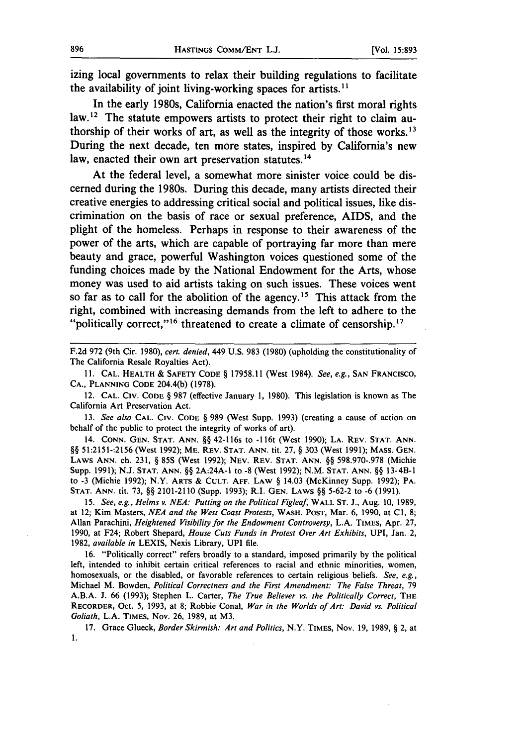izing local governments to relax their building regulations to facilitate the availability of joint living-working spaces for artists.<sup>11</sup>

In the early 1980s, California enacted the nation's first moral rights law.12 The statute empowers artists to protect their right to claim authorship of their works of art, as well as the integrity of those works. $^{13}$ During the next decade, ten more states, inspired **by** California's new law, enacted their own art preservation statutes. **<sup>14</sup>**

At the federal level, a somewhat more sinister voice could be discerned during the 1980s. During this decade, many artists directed their creative energies to addressing critical social and political issues, like discrimination on the basis of race or sexual preference, AIDS, and the plight of the homeless. Perhaps in response to their awareness of the power of the arts, which are capable of portraying far more than mere beauty and grace, powerful Washington voices questioned some of the funding choices made **by** the National Endowment for the Arts, whose money was used to aid artists taking on such issues. These voices went so far as to call for the abolition of the agency.15 This attack from the right, combined with increasing demands from the left to adhere to the "politically correct,"<sup>16</sup> threatened to create a climate of censorship.<sup>17</sup>

**F.2d 972** (9th Cir. **1980),** *cert. denied,* 449 **U.S. 983 (1980)** (upholding the constitutionality of The California Resale Royalties Act).

**11.** CAL. HEALTH **&** SAFETY CODE § 17958.11 (West 1984). *See, e.g.,* SAN **FRANCISCO,** CA., **PLANNING** CODE 204.4(b) (1978).

12. CAL. **CIv.** CODE § 987 (effective January 1, 1980). This legislation is known as The California Art Preservation Act.

13. *See also* CAL. **CIv.** CODE § 989 (West Supp. 1993) (creating a cause of action on behalf of the public to protect the integrity of works of art).

14. **CONN.** GEN. **STAT.** ANN. §§ 42-116s to **-l** 16t (West 1990); LA. REV. **STAT. ANN.** §§ 51:2151-:2156 (West 1992); ME. REV. STAT. ANN. tit. 27, § 303 (West 1991); MASS. GEN. LAWS ANN. ch. 231, § 85S (West 1992); **NEV.** REV. **STAT. ANN.** §§ 598.970-.978 (Michie Supp. 1991); N.J. **STAT. ANN.** §§ 2A:24A-l to **-8** (West 1992); N.M. STAT. ANN. §§ 13-4B-1 to -3 (Michie 1992); N.Y. ARTS & **CULT.** AFF. LAW § 14.03 (McKinney Supp. 1992); PA. **STAT.** ANN. tit. 73, §§ 2101-2110 (Supp. 1993); R.I. GEN. LAWS §§ 5-62-2 to **-6** (1991).

15. *See, e.g., Helms v. NEA: Putting on the Political Figleaf,* WALL **ST.** J., Aug. 10, 1989, at 12; Kim Masters, *NEA and the West Coast Protests,* WASH. POST, Mar. 6, 1990, at **Cl, 8;** Allan Parachini, *Heightened Visibility for the Endowment Controversy,* L.A. TIMES, Apr. 27, 1990, at F24; Robert Shepard, *House Cuts Funds in Protest Over Art Exhibits,* UPI, Jan. 2, 1982, *available in* LEXIS, Nexis Library, UPI file.

16. "Politically correct" refers broadly to a standard, imposed primarily by the political left, intended to inhibit certain critical references to racial and ethnic minorities, women, homosexuals, or the disabled, or favorable references to certain religious beliefs. *See, e.g.,* Michael M. Bowden, *Political Correctness and the First Amendment: The False Threat,* 79 A.B.A. J. 66 (1993); Stephen L. Carter, *The True Believer vs. the Politically Correct,* THE RECORDER, Oct. 5, 1993, at 8; Robbie Conal, *War in the Worlds of Art: David vs. Political Goliath,* L.A. TIMES, Nov. 26, 1989, at M3.

17. Grace Glueck, *Border Skirmish: Art and Politics,* N.Y. TIMES, Nov. 19, 1989, § 2, at  $\mathbf{1}$ .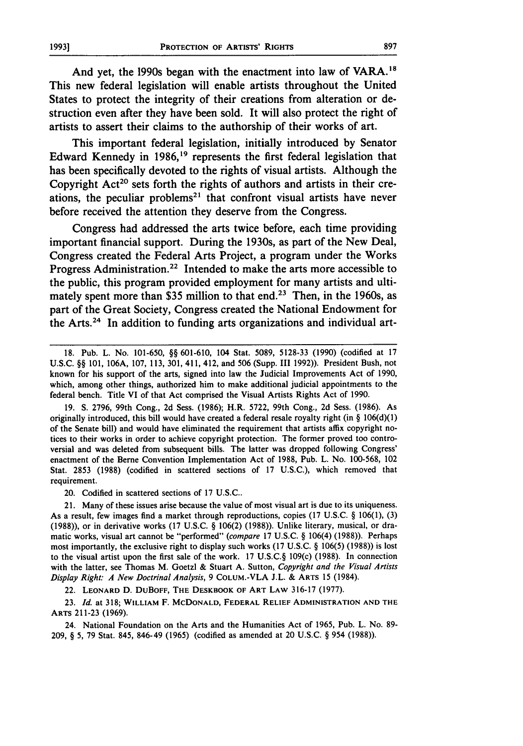And yet, the 1990s began with the enactment into law of VARA.<sup>18</sup> This new federal legislation will enable artists throughout the United States to protect the integrity of their creations from alteration or destruction even after they have been sold. It will also protect the right of artists to assert their claims to the authorship of their works of art.

This important federal legislation, initially introduced **by** Senator Edward Kennedy in **1986,19** represents the first federal legislation that has been specifically devoted to the rights of visual artists. Although the Copyright **Act2°** sets forth the rights of authors and artists in their creations, the peculiar problems<sup>21</sup> that confront visual artists have never before received the attention they deserve from the Congress.

Congress had addressed the arts twice before, each time providing important financial support. During the 1930s, as part of the New Deal, Congress created the Federal Arts Project, a program under the Works Progress Administration.22 Intended to make the arts more accessible to the public, this program provided employment for many artists and ultimately spent more than \$35 million to that end.<sup>23</sup> Then, in the 1960s, as part of the Great Society, Congress created the National Endowment for the Arts.24 In addition to funding arts organizations and individual art-

**19. S. 2796,** 99th Cong., **2d** Sess. **(1986);** H.R. **5722,** 99th Cong., **2d** Sess. **(1986).** As originally introduced, this bill would have created a federal resale royalty right (in **§ 106(d)(l)** of the Senate bill) and would have eliminated the requirement that artists affix copyright notices to their works in order to achieve copyright protection. The former proved too controversial and was deleted from subsequent bills. The latter was dropped following Congress' enactment of the Berne Convention Implementation Act of **1988,** Pub. L. No. **100-568,** 102 Stat. **2853 (1988)** (codified in scattered sections of **17 U.S.C.),** which removed that requirement.

20. Codified in scattered sections of **17 U.S.C..**

21. Many of these issues arise because the value of most visual art is due to its uniqueness. As a result, few images find a market through reproductions, copies **(17 U.S.C.** § **106(1), (3) (1988)),** or in derivative works **(17 U.S.C. § 106(2) (1988)).** Unlike literary, musical, or dramatic works, visual art cannot be "performed" (compare **17 U.S.C. §** 106(4) **(1988)).** Perhaps most importantly, the exclusive right to display such works **(17 U.S.C.** § **106(5) (1988))** is lost to the visual artist upon the first sale of the work. **17 U.S.C.§** 109(c) **(1988).** In connection with the latter, see Thomas M. Goetzl **&** Stuart **A.** Sutton, Copyright and the Visual Artists Display Right: *A New Doctrinal Analysis,* **9 COLUM.-VLA J.L. & ARTS 15** (1984).

22. **LEONARD D.** DuBOFF, **THE DESKBOOK OF ART LAW 316-17 (1977).**

**23.** Id. at **318; WILLIAM** F. **MCDONALD, FEDERAL RELIEF ADMINISTRATION AND THE** ARTS **211-23 (1969).**

24. National Foundation on the Arts and the Humanities Act of **1965,** Pub. L. No. **89- 209, § 5, 79** Stat. 845, 846-49 **(1965)** (codified as amended at 20 **U.S.C.** § 954 **(1988)).**

**<sup>18.</sup>** Pub. L. No. **101-650, §§ 601-610,** 104 Stat. **5089, 5128-33 (1990)** (codified at **17 U.S.C. §§ 101, 106A, 107, 113, 301,** 411, 412, and **506** (Supp. **III 1992)).** President Bush, not known for his support of the arts, signed into law the Judicial Improvements Act of **1990,** which, among other things, authorized him to make additional judicial appointments to the federal bench. Title VI of that Act comprised the Visual Artists Rights Act of **1990.**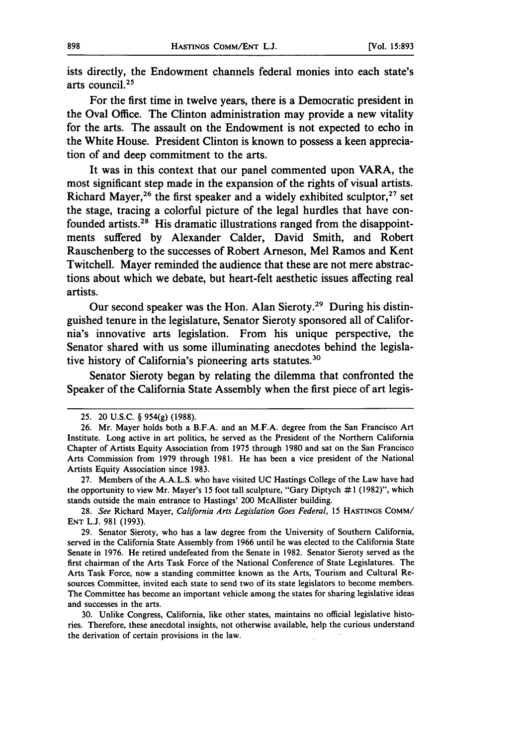ists directly, the Endowment channels federal monies into each state's arts council.25

For the first time in twelve years, there is a Democratic president in the Oval Office. The Clinton administration may provide a new vitality for the arts. The assault on the Endowment is not expected to echo in the White House. President Clinton is known to possess a keen appreciation of and deep commitment to the arts.

It was in this context that our panel commented upon VARA, the most significant step made in the expansion of the rights of visual artists. Richard Mayer,<sup>26</sup> the first speaker and a widely exhibited sculptor,<sup>27</sup> set the stage, tracing a colorful picture of the legal hurdles that have confounded artists.<sup>28</sup> His dramatic illustrations ranged from the disappointments suffered **by** Alexander Calder, David Smith, and Robert Rauschenberg to the successes of Robert Arneson, Mel Ramos and Kent Twitchell. Mayer reminded the audience that these are not mere abstractions about which we debate, but heart-felt aesthetic issues affecting real artists.

Our second speaker was the Hon. Alan Sieroty.<sup>29</sup> During his distinguished tenure in the legislature, Senator Sieroty sponsored all of California's innovative arts legislation. From his unique perspective, the Senator shared with us some illuminating anecdotes behind the legislative history of California's pioneering arts statutes.<sup>30</sup>

Senator Sieroty began **by** relating the dilemma that confronted the Speaker of the California State Assembly when the first piece of art legis-

<sup>25. 20</sup> **U.S.C.** § 954(g) (1988).

<sup>26.</sup> Mr. Mayer holds both a B.F.A. and an M.F.A. degree from the San Francisco Art Institute. Long active in art politics, he served as the President of the Northern California Chapter of Artists Equity Association from 1975 through 1980 and sat on the San Francisco Arts Commission from 1979 through 1981. He has been a vice president of the National Artists Equity Association since 1983.

<sup>27.</sup> Members of the A.A.L.S. who have visited UC Hastings College of the Law have had the opportunity to view Mr. Mayer's 15 foot tall sculpture, "Gary Diptych  $\#1$  (1982)", which stands outside the main entrance to Hastings' 200 McAllister building.

<sup>28.</sup> See Richard Mayer, California *Arts Legislation Goes Federal,* **15 HASTINGS** COMM/ **ENT** L.J. 981 (1993).

<sup>29.</sup> Senator Sieroty, who has a law degree from the University of Southern California, served in the California State Assembly from 1966 until he was elected to the California State Senate in 1976. He retired undefeated from the Senate in 1982. Senator Sieroty served as the first chairman of the Arts Task Force of the National Conference of State Legislatures. The Arts Task Force, now a standing committee known as the Arts, Tourism and Cultural Resources Committee, invited each state to send two of its state legislators to become members. The Committee has become an important vehicle among the states for sharing legislative ideas and successes in the arts.

<sup>30.</sup> Unlike Congress, California, like other states, maintains no official legislative histories. Therefore, these anecdotal insights, not otherwise available, help the curious understand the derivation of certain provisions in the law.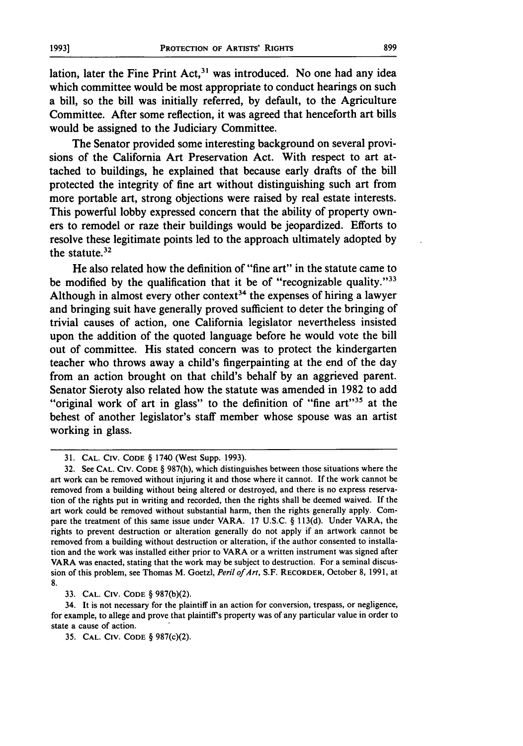lation, later the Fine Print  $Act.^{31}$  was introduced. No one had any idea which committee would be most appropriate to conduct hearings on such a bill, so the bill was initially referred, **by** default, to the Agriculture Committee. After some reflection, it was agreed that henceforth art bills would be assigned to the Judiciary Committee.

The Senator provided some interesting background on several provisions of the California Art Preservation Act. With respect to art attached to buildings, he explained that because early drafts of the bill protected the integrity of fine art without distinguishing such art from more portable art, strong objections were raised **by** real estate interests. This powerful lobby expressed concern that the ability of property owners to remodel or raze their buildings would be jeopardized. Efforts to resolve these legitimate points led to the approach ultimately adopted **by** the statute.32

He also related how the definition of "fine art" in the statute came to be modified by the qualification that it be of "recognizable quality."<sup>33</sup> Although in almost every other context<sup>34</sup> the expenses of hiring a lawyer and bringing suit have generally proved sufficient to deter the bringing of trivial causes of action, one California legislator nevertheless insisted upon the addition of the quoted language before he would vote the bill out of committee. His stated concern was to protect the kindergarten teacher who throws away a child's fingerpainting at the end of the day from an action brought on that child's behalf **by** an aggrieved parent. Senator Sieroty also related how the statute was amended in **1982** to add "original work of art in glass" to the definition of "fine art"<sup>35</sup> at the behest of another legislator's staff member whose spouse was an artist working in glass.

**33. CAL. CIV. CODE** § 987(b)(2).

34. It is not necessary for the plaintiff in an action for conversion, trespass, or negligence, for example, to allege and prove that plaintiffs property was of any particular value in order to state a cause of action.

35. CAL. **CIV. CODE** § 987(c)(2).

<sup>31.</sup> CAL. **CIV. CODE** § 1740 (West Supp. 1993).

<sup>32.</sup> See **CAL. CIv. CODE** § 987(h), which distinguishes between those situations where the art work can be removed without injuring it and those where it cannot. If the work cannot be removed from a building without being altered or destroyed, and there is no express reservation of the rights put in writing and recorded, then the rights shall be deemed waived. If the art work could be removed without substantial harm, then the rights generally apply. Compare the treatment of this same issue under VARA. 17 U.S.C. § 113(d). Under VARA, the rights to prevent destruction or alteration generally do not apply if an artwork cannot be removed from a building without destruction or alteration, if the author consented to installation and the work was installed either prior to VARA or a written instrument was signed after VARA was enacted, stating that the work may be subject to destruction. For a seminal discussion of this problem, see Thomas M. Goetzl, *Peril of Art,* S.F. RECORDER, October 8, 199 **1,** at **8.**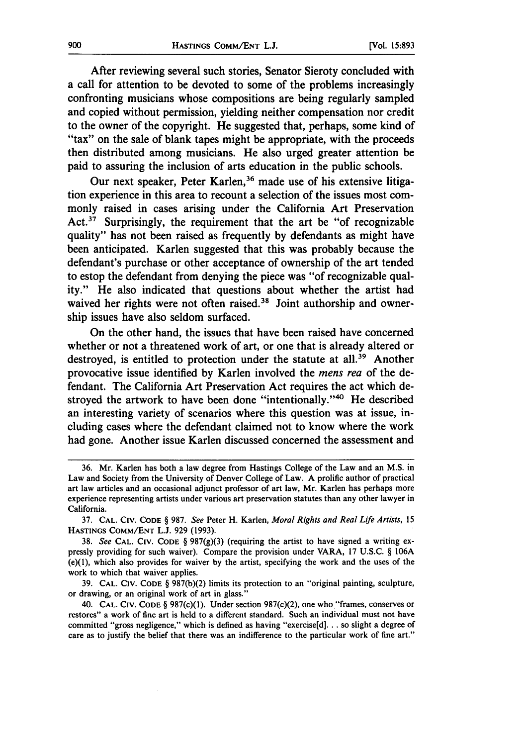After reviewing several such stories, Senator Sieroty concluded with a call for attention to be devoted to some of the problems increasingly confronting musicians whose compositions are being regularly sampled and copied without permission, yielding neither compensation nor credit to the owner of the copyright. He suggested that, perhaps, some kind of "tax" on the sale of blank tapes might be appropriate, with the proceeds then distributed among musicians. He also urged greater attention be paid to assuring the inclusion of arts education in the public schools.

Our next speaker, Peter Karlen,<sup>36</sup> made use of his extensive litigation experience in this area to recount a selection of the issues most commonly raised in cases arising under the California Art Preservation Act.<sup>37</sup> Surprisingly, the requirement that the art be "of recognizable quality" has not been raised as frequently **by** defendants as might have been anticipated. Karlen suggested that this was probably because the defendant's purchase or other acceptance of ownership of the art tended to estop the defendant from denying the piece was "of recognizable quality." He also indicated that questions about whether the artist had waived her rights were not often raised.<sup>38</sup> Joint authorship and ownership issues have also seldom surfaced.

On the other hand, the issues that have been raised have concerned whether or not a threatened work of art, or one that is already altered or destroyed, is entitled to protection under the statute at all.<sup>39</sup> Another provocative issue identified **by** Karlen involved the *mens rea* of the defendant. The California Art Preservation Act requires the act which destroyed the artwork to have been done "intentionally."<sup>40</sup> He described an interesting variety of scenarios where this question was at issue, including cases where the defendant claimed not to know where the work had gone. Another issue Karlen discussed concerned the assessment and

**<sup>36.</sup>** Mr. Karlen has both a law degree from Hastings College of the Law and an **M.S.** in Law and Society from the University of Denver College of Law. **A** prolific author of practical art law articles and an occasional adjunct professor of art law, Mr. Karlen has perhaps more experience representing artists under various art preservation statutes than any other lawyer in California.

**<sup>37.</sup>** CAL. **CIV. CODE** § **987.** *See* Peter H. Karlen, *Moral Rights and Real Life Artists,* **15 HASTINGS** COMM/ENT **L.J. 929 (1993).**

**<sup>38.</sup>** *See* **CAL. CiV. CODE** § **987(g)(3)** (requiring the artist to have signed a writing expressly providing for such waiver). Compare the provision under VARA, **17 U.S.C.** § **106A** (e)(l), which also provides for waiver **by** the artist, specifying the work and the uses of the work to which that waiver applies.

**<sup>39.</sup> CAL. CIv. CODE** § **987(b)(2)** limits its protection to an "original painting, sculpture, or drawing, or an original work of art in glass."

<sup>40.</sup> CAL. **CIV.** CODE § 987(c)(1). Under section 987(c)(2), one who "frames, conserves or restores" a work of fine art is held to a different standard. Such an individual must not have committed "gross negligence," which is defined as having "exercise[d]... so slight a degree of care as to justify the belief that there was an indifference to the particular work of fine art."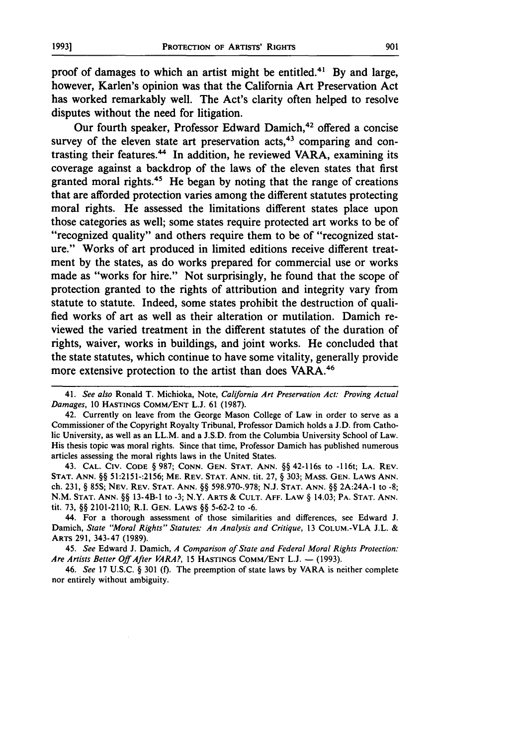proof of damages to which an artist might be entitled.41 **By** and large, however, Karlen's opinion was that the California Art Preservation Act has worked remarkably well. The Act's clarity often helped to resolve disputes without the need for litigation.

Our fourth speaker, Professor Edward Damich,<sup>42</sup> offered a concise survey of the eleven state art preservation acts,  $43$  comparing and contrasting their features.<sup>44</sup> In addition, he reviewed VARA, examining its coverage against a backdrop of the laws of the eleven states that first granted moral rights.<sup>45</sup> He began by noting that the range of creations that are afforded protection varies among the different statutes protecting moral rights. He assessed the limitations different states place upon those categories as well; some states require protected art works to be of "recognized quality" and others require them to be of "recognized stature." Works of art produced in limited editions receive different treatment **by** the states, as do works prepared for commercial use or works made as "works for hire." Not surprisingly, he found that the scope of protection granted to the rights of attribution and integrity vary from statute to statute. Indeed, some states prohibit the destruction of qualified works of art as well as their alteration or mutilation. Damich reviewed the varied treatment in the different statutes of the duration of rights, waiver, works in buildings, and joint works. He concluded that the state statutes, which continue to have some vitality, generally provide more extensive protection to the artist than does VARA.<sup>46</sup>

43. **CAL.** CIV. **CODE** § 987; **CONN. GEN. STAT. ANN.** §§ 42-116s to **-1** 16t; **LA.** REV. **STAT. ANN.** §§ 51:2151-:2156; ME. REV. **STAT. ANN.** tit. **27,** § 303; **MASS. GEN.** LAWS **ANN.** ch. **231,** § 85S; **NEV.** REV. **STAT. ANN.** §§ **598.970-.978;** N.J. **STAT. ANN.** §§ 2A:24A-I to **-8;** N.M. **STAT.** ANN. §§ 13-4B-1 to **-3;** N.Y. **ARTS** & **CULT. AFF.** LAW § 14.03; PA. **STAT. ANN.** tit. 73, §§ 2101-2110; R.I. GEN. LAWS §§ 5-62-2 to **-6.**

44. For a thorough assessment of those similarities and differences, see Edward **J.** Damich, *State "Moral Rights" Statutes: An Analysis and Critique,* 13 COLUM.-VLA J.L. & ARTS 291, 343-47 (1989).

45. *See* Edward **J.** Damich, *A Comparison of State and Federal Moral Rights Protection:* Are Artists Better Off After VARA?, 15 HASTINGS COMM/ENT L.J. - (1993).

46. *See* 17 U.S.C. § 301 **(f).** The preemption of state laws **by** VARA is neither complete nor entirely without ambiguity.

<sup>41.</sup> *See also* Ronald T. Michioka, Note, *California Art Preservation Act: Proving Actual Damages,* **10 HASTINGS CoMM/ENT L.J. 61 (1987).**

<sup>42.</sup> Currently on leave from the George Mason College of Law in order to serve as a Commissioner of the Copyright Royalty Tribunal, Professor Damich holds a **J.D.** from Catholic University, as well as an LL.M. and a J.S.D. from the Columbia University School of Law. His thesis topic was moral rights. Since that time, Professor Damich has published numerous articles assessing the moral rights laws in the United States.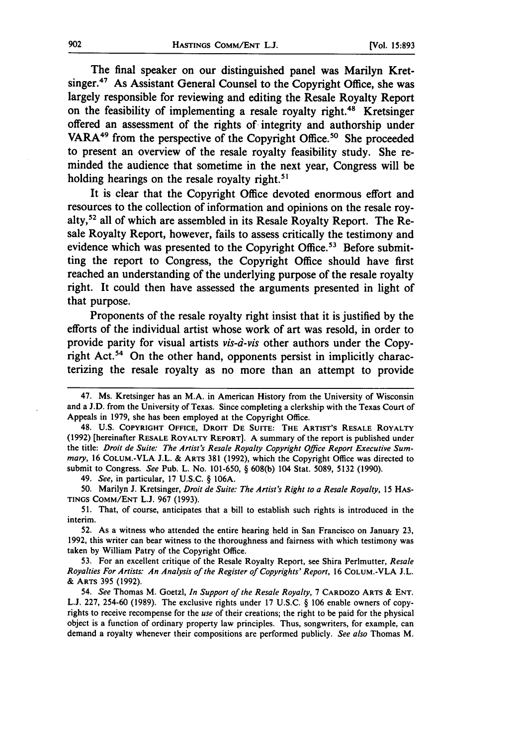The final speaker on our distinguished panel was Marilyn Kretsinger.<sup>47</sup> As Assistant General Counsel to the Copyright Office, she was largely responsible for reviewing and editing the Resale Royalty Report on the feasibility of implementing a resale royalty right.<sup>48</sup> Kretsinger offered an assessment of the rights of integrity and authorship under VARA<sup>49</sup> from the perspective of the Copyright Office.<sup>50</sup> She proceeded to present an overview of the resale royalty feasibility study. She reminded the audience that sometime in the next year, Congress will be holding hearings on the resale royalty right.<sup>51</sup>

It is clear that the Copyright Office devoted enormous effort and resources to the collection of information and opinions on the resale royalty,52 all of which are assembled in its Resale Royalty Report. The Resale Royalty Report, however, fails to assess critically the testimony and evidence which was presented to the Copyright Office.<sup>53</sup> Before submitting the report to Congress, the Copyright Office should have first reached an understanding of the underlying purpose of the resale royalty right. It could then have assessed the arguments presented in light of that purpose.

Proponents of the resale royalty right insist that it is justified **by** the efforts of the individual artist whose work of art was resold, in order to provide parity for visual artists vis-d-vis other authors under the Copyright Act.<sup>54</sup> On the other hand, opponents persist in implicitly characterizing the resale royalty as no more than an attempt to provide

49. *See,* in particular, 17 U.S.C. § 106A.

50. Marilyn J. Kretsinger, *Droit de Suite: The Artist's Right to a Resale Royalty,* 15 HAS-**TINGS** COMM/ENT L.J. 967 (1993).

51. That, of course, anticipates that a bill to establish such rights is introduced in the interim.

52. As a witness who attended the entire hearing held in San Francisco on January 23, **1992,** this writer can bear witness to the thoroughness and fairness with which testimony was taken **by** William Patry of the Copyright Office.

53. For an excellent critique of the Resale Royalty Report, see Shira Perlmutter, *Resale Royalties For Artists.- An Analysis of the Register of Copyrights' Report,* 16 COLUM.-VLA J.L. & ARTS 395 (1992).

54. *See* Thomas M. Goetzl, *In Support of the Resale Royalty,* 7 CARDOZO ARTS & **ENT.** L.J. 227, 254-60 (1989). The exclusive rights under 17 U.S.C. § 106 enable owners of copyrights to receive recompense for the *use* of their creations; the right to be paid for the physical object is a function of ordinary property law principles. Thus, songwriters, for example, can demand a royalty whenever their compositions are performed publicly. *See also* Thomas M.

<sup>47.</sup> Ms. Kretsinger has an M.A. in American History from the University of Wisconsin and a J.D. from the University of Texas. Since completing a clerkship with the Texas Court of Appeals in **1979,** she has been employed at the Copyright Office.

<sup>48.</sup> U.S. COPYRIGHT **OFFICE,** DROIT **DE SUITE:** THE ARTIST'S RESALE ROYALTY (1992) [hereinafter RESALE ROYALTY REPORT]. A summary of the report is published under the title: *Droit de Suite: The Artist's Resale Royalty Copyright Office Report Executive Summary,* 16 COLUM.-VLA J.L. & ARTS 381 (1992), which the Copyright Office was directed to submit to Congress. *See* Pub. L. No. 101-650, § 608(b) 104 Stat. 5089, 5132 (1990).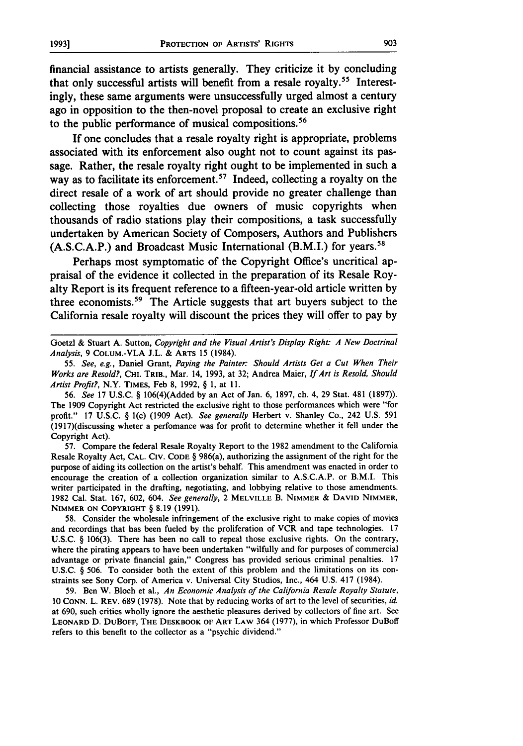financial assistance to artists generally. They criticize it **by** concluding that only successful artists will benefit from a resale royalty. 55 Interestingly, these same arguments were unsuccessfully urged almost a century ago in opposition to the then-novel proposal to create an exclusive right to the public performance of musical compositions.<sup>56</sup>

If one concludes that a resale royalty right is appropriate, problems associated with its enforcement also ought not to count against its passage. Rather, the resale royalty right ought to be implemented in such a way as to facilitate its enforcement.<sup>57</sup> Indeed, collecting a royalty on the direct resale of a work of art should provide no greater challenge than collecting those royalties due owners of music copyrights when thousands of radio stations play their compositions, a task successfully undertaken **by** American Society of Composers, Authors and Publishers **(A.S.C.A.P.)** and Broadcast Music International (B.M.I.) for years.58

Perhaps most symptomatic of the Copyright Office's uncritical appraisal of the evidence it collected in the preparation of its Resale Royalty Report is its frequent reference to a fifteen-year-old article written **by** three economists.59 The Article suggests that art buyers subject to the California resale royalty will discount the prices they will offer to pay **by**

**56.** *See* **17 U.S.C.** § 106(4)(Added **by** an Act of Jan. **6, 1897,** ch. 4, **29** Stat. 481 **(1897)).** The **1909** Copyright Act restricted the exclusive right to those performances which were "for profit." **17 U.S.C.** § l(c) **(1909** Act). *See generally* Herbert v. Shanley Co., 242 **U.S. 591** (1917)(discussing wheter a perfomance was for profit to determine whether it fell under the Copyright Act).

**57.** Compare the federal Resale Royalty Report to the **1982** amendment to the California Resale Royalty Act, **CAL. CIV. CODE** § 986(a), authorizing the assignment of the right for the purpose of aiding its collection on the artist's behalf. This amendment was enacted in order to encourage the creation of a collection organization similar to **A.S.C.A.P.** or B.M.I. This writer participated in the drafting, negotiating, and lobbying relative to those amendments. **1982** Cal. Stat. **167, 602,** 604. *See generally,* 2 **MELVILLE** B. **NIMMER & DAVID NIMMER, NIMMER ON COPYRIGHT** § **8.19 (1991).**

**58.** Consider the wholesale infringement of the exclusive right to make copies of movies and recordings that has been fueled **by** the proliferation of VCR and tape technologies. **17 U.S.C.** § **106(3).** There has been no call to repeal those exclusive rights. On the contrary, where the pirating appears to have been undertaken "wilfully and for purposes of commercial advantage or private financial gain," Congress has provided serious criminal penalties. **17 U.S.C.** § **506.** To consider both the extent of this problem and the limitations on its constraints see Sony Corp. of America v. Universal City Studios, Inc., 464 **U.S.** 417 (1984).

**59.** Ben W. Bloch et al., *An Economic Analysis of the California Resale Royalty Statute,* **10 CONN.** L. **REV. 689 (1978).** Note that **by** reducing works of art to the level of securities, *id.* at **690,** such critics wholly ignore the aesthetic pleasures derived **by** collectors of fine art. See **LEONARD D. DuBOFF, THE DESKBOOK OF ART LAW** 364 **(1977),** in which Professor DuBoff **refers to this benefit to the collector as a "psychic dividend."**

Goetzl **&** Stuart **A.** Sutton, *Copyright and the Visual Artist's Display Right: A New Doctrinal Analysis,* **9 COLUM.-VLA J.L. &** ARTS **15** (1984).

**<sup>55.</sup>** *See, e.g.,* Daniel Grant, *Paying the Painter: Should Artists Get a Cut When Their Works are Resold?,* CHI. TRIB., Mar. 14, **1993,** at **32;** Andrea Maier, *If Art is Resold, Should Artist Profit?,* N.Y. TIMES, Feb **8, 1992,** § **1,** at **11.**